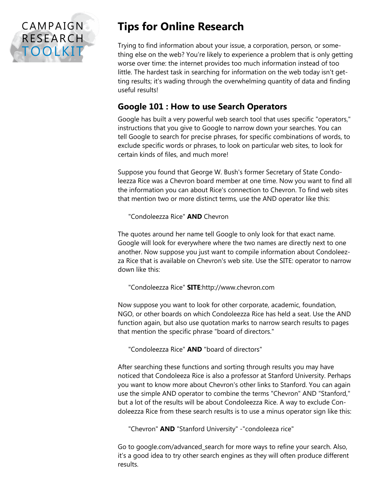

## **Tips for Online Research**

Trying to find information about your issue, a corporation, person, or something else on the web? You're likely to experience a problem that is only getting worse over time: the internet provides too much information instead of too little. The hardest task in searching for information on the web today isn't getting results; it's wading through the overwhelming quantity of data and finding useful results!

## **Google 101 : How to use Search Operators**

Google has built a very powerful web search tool that uses specific "operators," instructions that you give to Google to narrow down your searches. You can tell Google to search for precise phrases, for specific combinations of words, to exclude specific words or phrases, to look on particular web sites, to look for certain kinds of files, and much more!

Suppose you found that George W. Bush's former Secretary of State Condoleezza Rice was a Chevron board member at one time. Now you want to find all the information you can about Rice's connection to Chevron. To find web sites that mention two or more distinct terms, use the AND operator like this:

"Condoleezza Rice" **AND** Chevron

The quotes around her name tell Google to only look for that exact name. Google will look for everywhere where the two names are directly next to one another. Now suppose you just want to compile information about Condoleezza Rice that is available on Chevron's web site. Use the SITE: operator to narrow down like this:

"Condoleezza Rice" **SITE**:http://www.chevron.com

Now suppose you want to look for other corporate, academic, foundation, NGO, or other boards on which Condoleezza Rice has held a seat. Use the AND function again, but also use quotation marks to narrow search results to pages that mention the specific phrase "board of directors."

"Condoleezza Rice" **AND** "board of directors"

After searching these functions and sorting through results you may have noticed that Condoleeza Rice is also a professor at Stanford University. Perhaps you want to know more about Chevron's other links to Stanford. You can again use the simple AND operator to combine the terms "Chevron" AND "Stanford," but a lot of the results will be about Condoleezza Rice. A way to exclude Condoleezza Rice from these search results is to use a minus operator sign like this:

"Chevron" **AND** "Stanford University" -"condoleeza rice"

Go to google.com/advanced\_search for more ways to refine your search. Also, it's a good idea to try other search engines as they will often produce different results.